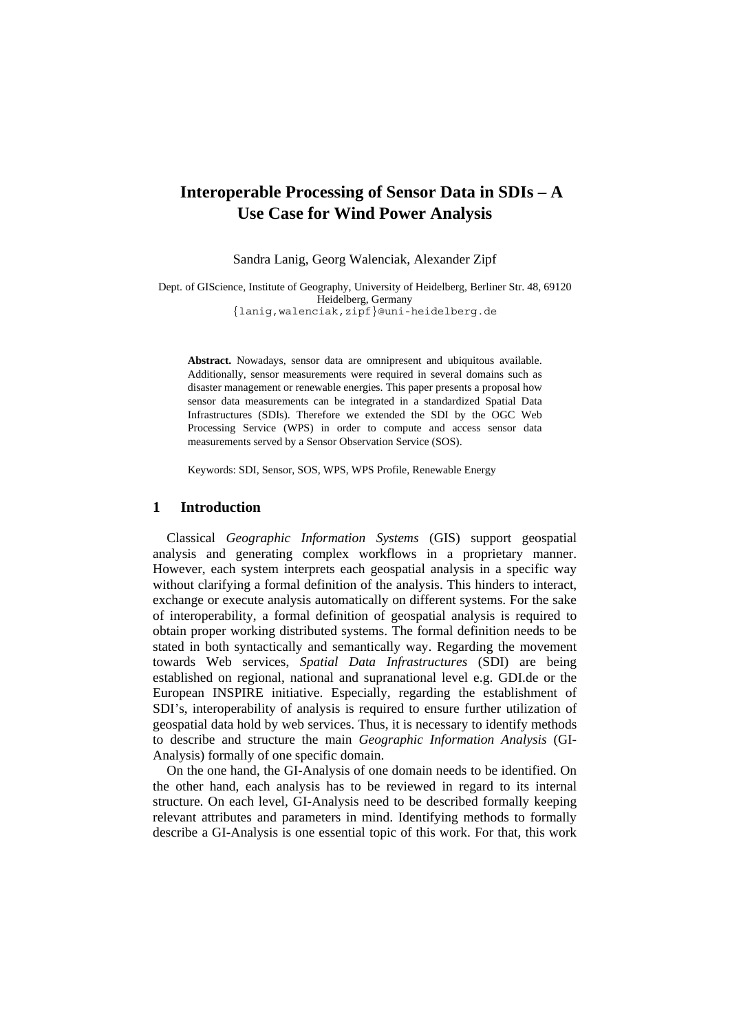# **Interoperable Processing of Sensor Data in SDIs – A Use Case for Wind Power Analysis**

Sandra Lanig, Georg Walenciak, Alexander Zipf

Dept. of GIScience, Institute of Geography, University of Heidelberg, Berliner Str. 48, 69120 Heidelberg, Germany {lanig,walenciak,zipf}@uni-heidelberg.de

**Abstract.** Nowadays, sensor data are omnipresent and ubiquitous available. Additionally, sensor measurements were required in several domains such as disaster management or renewable energies. This paper presents a proposal how sensor data measurements can be integrated in a standardized Spatial Data Infrastructures (SDIs). Therefore we extended the SDI by the OGC Web Processing Service (WPS) in order to compute and access sensor data measurements served by a Sensor Observation Service (SOS).

Keywords: SDI, Sensor, SOS, WPS, WPS Profile, Renewable Energy

## **1 Introduction**

Classical *Geographic Information Systems* (GIS) support geospatial analysis and generating complex workflows in a proprietary manner. However, each system interprets each geospatial analysis in a specific way without clarifying a formal definition of the analysis. This hinders to interact, exchange or execute analysis automatically on different systems. For the sake of interoperability, a formal definition of geospatial analysis is required to obtain proper working distributed systems. The formal definition needs to be stated in both syntactically and semantically way. Regarding the movement towards Web services, *Spatial Data Infrastructures* (SDI) are being established on regional, national and supranational level e.g. GDI.de or the European INSPIRE initiative. Especially, regarding the establishment of SDI's, interoperability of analysis is required to ensure further utilization of geospatial data hold by web services. Thus, it is necessary to identify methods to describe and structure the main *Geographic Information Analysis* (GI-Analysis) formally of one specific domain.

On the one hand, the GI-Analysis of one domain needs to be identified. On the other hand, each analysis has to be reviewed in regard to its internal structure. On each level, GI-Analysis need to be described formally keeping relevant attributes and parameters in mind. Identifying methods to formally describe a GI-Analysis is one essential topic of this work. For that, this work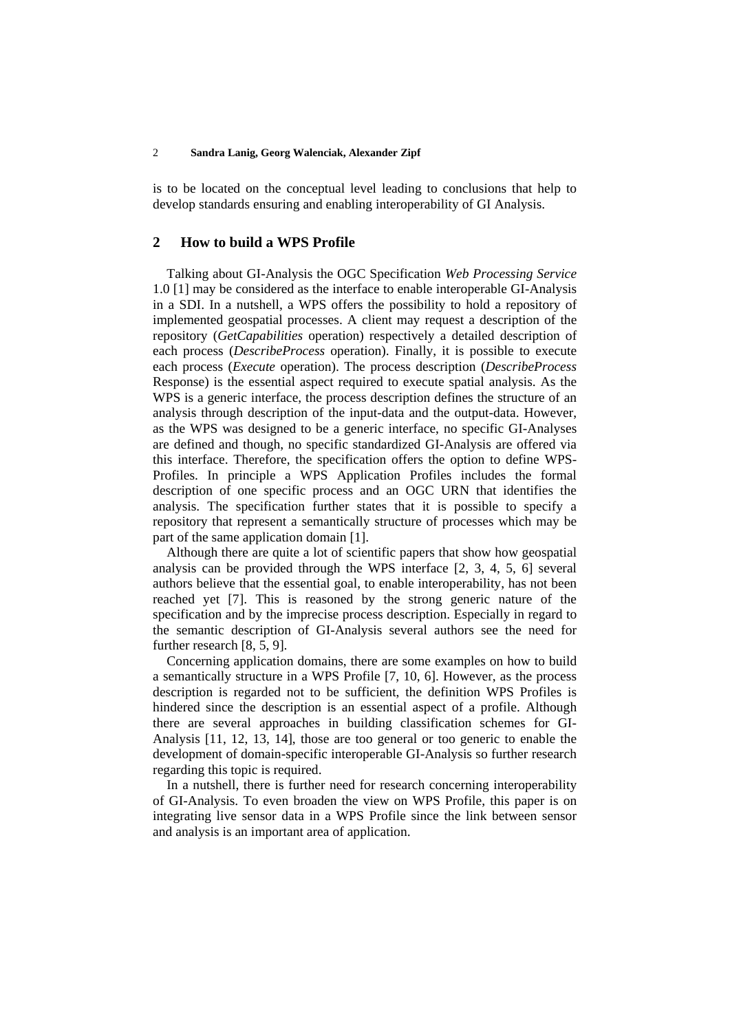#### 2 **Sandra Lanig, Georg Walenciak, Alexander Zipf**

is to be located on the conceptual level leading to conclusions that help to develop standards ensuring and enabling interoperability of GI Analysis.

## **2 How to build a WPS Profile**

Talking about GI-Analysis the OGC Specification *Web Processing Service* 1.0 [1] may be considered as the interface to enable interoperable GI-Analysis in a SDI. In a nutshell, a WPS offers the possibility to hold a repository of implemented geospatial processes. A client may request a description of the repository (*GetCapabilities* operation) respectively a detailed description of each process (*DescribeProcess* operation). Finally, it is possible to execute each process (*Execute* operation). The process description (*DescribeProcess* Response) is the essential aspect required to execute spatial analysis. As the WPS is a generic interface, the process description defines the structure of an analysis through description of the input-data and the output-data. However, as the WPS was designed to be a generic interface, no specific GI-Analyses are defined and though, no specific standardized GI-Analysis are offered via this interface. Therefore, the specification offers the option to define WPS-Profiles. In principle a WPS Application Profiles includes the formal description of one specific process and an OGC URN that identifies the analysis. The specification further states that it is possible to specify a repository that represent a semantically structure of processes which may be part of the same application domain [1].

Although there are quite a lot of scientific papers that show how geospatial analysis can be provided through the WPS interface [2, 3, 4, 5, 6] several authors believe that the essential goal, to enable interoperability, has not been reached yet [7]. This is reasoned by the strong generic nature of the specification and by the imprecise process description. Especially in regard to the semantic description of GI-Analysis several authors see the need for further research [8, 5, 9].

Concerning application domains, there are some examples on how to build a semantically structure in a WPS Profile [7, 10, 6]. However, as the process description is regarded not to be sufficient, the definition WPS Profiles is hindered since the description is an essential aspect of a profile. Although there are several approaches in building classification schemes for GI-Analysis [11, 12, 13, 14], those are too general or too generic to enable the development of domain-specific interoperable GI-Analysis so further research regarding this topic is required.

In a nutshell, there is further need for research concerning interoperability of GI-Analysis. To even broaden the view on WPS Profile, this paper is on integrating live sensor data in a WPS Profile since the link between sensor and analysis is an important area of application.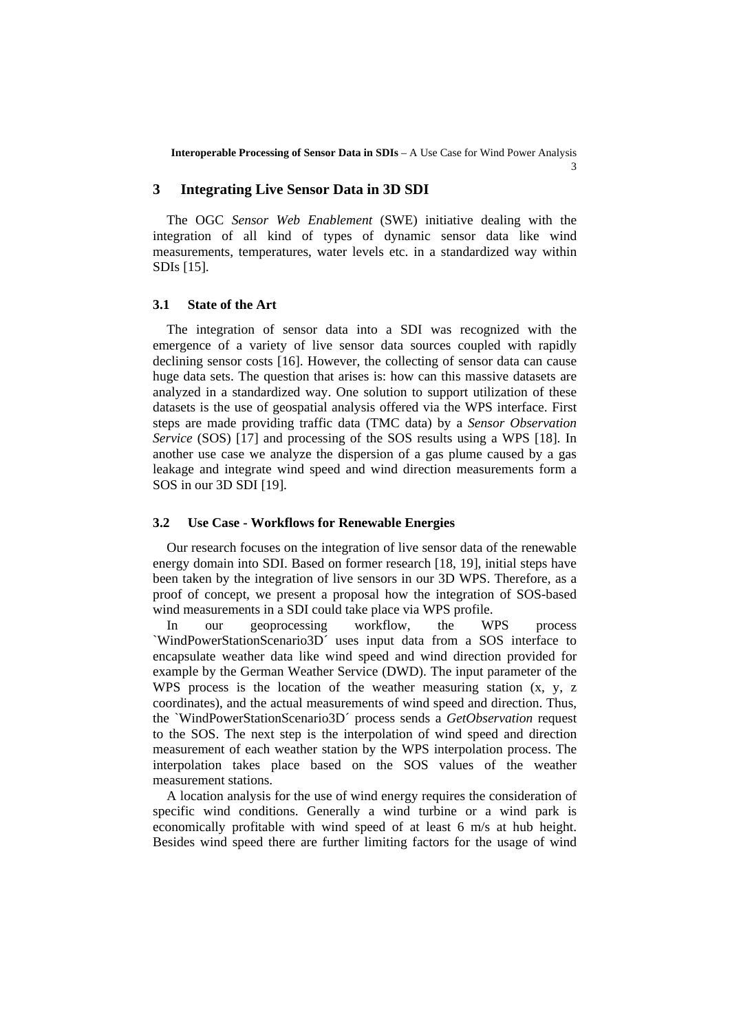**Interoperable Processing of Sensor Data in SDIs** – A Use Case for Wind Power Analysis

 $\overline{a}$ 

#### **3 Integrating Live Sensor Data in 3D SDI**

The OGC *Sensor Web Enablement* (SWE) initiative dealing with the integration of all kind of types of dynamic sensor data like wind measurements, temperatures, water levels etc. in a standardized way within SDIs [15].

### **3.1 State of the Art**

The integration of sensor data into a SDI was recognized with the emergence of a variety of live sensor data sources coupled with rapidly declining sensor costs [16]. However, the collecting of sensor data can cause huge data sets. The question that arises is: how can this massive datasets are analyzed in a standardized way. One solution to support utilization of these datasets is the use of geospatial analysis offered via the WPS interface. First steps are made providing traffic data (TMC data) by a *Sensor Observation Service* (SOS) [17] and processing of the SOS results using a WPS [18]. In another use case we analyze the dispersion of a gas plume caused by a gas leakage and integrate wind speed and wind direction measurements form a SOS in our 3D SDI [19].

#### **3.2 Use Case - Workflows for Renewable Energies**

Our research focuses on the integration of live sensor data of the renewable energy domain into SDI. Based on former research [18, 19], initial steps have been taken by the integration of live sensors in our 3D WPS. Therefore, as a proof of concept, we present a proposal how the integration of SOS-based wind measurements in a SDI could take place via WPS profile.

In our geoprocessing workflow, the WPS process `WindPowerStationScenario3D´ uses input data from a SOS interface to encapsulate weather data like wind speed and wind direction provided for example by the German Weather Service (DWD). The input parameter of the WPS process is the location of the weather measuring station (x, y, z coordinates), and the actual measurements of wind speed and direction. Thus, the `WindPowerStationScenario3D´ process sends a *GetObservation* request to the SOS. The next step is the interpolation of wind speed and direction measurement of each weather station by the WPS interpolation process. The interpolation takes place based on the SOS values of the weather measurement stations.

A location analysis for the use of wind energy requires the consideration of specific wind conditions. Generally a wind turbine or a wind park is economically profitable with wind speed of at least 6 m/s at hub height. Besides wind speed there are further limiting factors for the usage of wind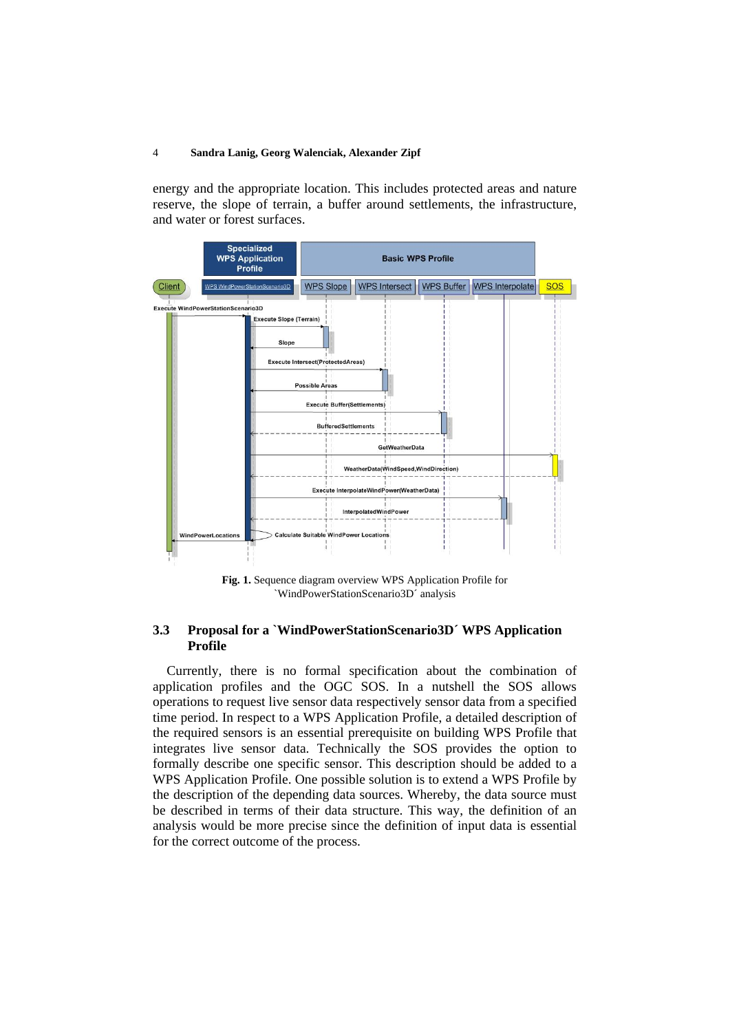#### 4 **Sandra Lanig, Georg Walenciak, Alexander Zipf**

energy and the appropriate location. This includes protected areas and nature reserve, the slope of terrain, a buffer around settlements, the infrastructure, and water or forest surfaces.



**Fig. 1.** Sequence diagram overview WPS Application Profile for `WindPowerStationScenario3D´ analysis

## **3.3 Proposal for a `WindPowerStationScenario3D´ WPS Application Profile**

Currently, there is no formal specification about the combination of application profiles and the OGC SOS. In a nutshell the SOS allows operations to request live sensor data respectively sensor data from a specified time period. In respect to a WPS Application Profile, a detailed description of the required sensors is an essential prerequisite on building WPS Profile that integrates live sensor data. Technically the SOS provides the option to formally describe one specific sensor. This description should be added to a WPS Application Profile. One possible solution is to extend a WPS Profile by the description of the depending data sources. Whereby, the data source must be described in terms of their data structure. This way, the definition of an analysis would be more precise since the definition of input data is essential for the correct outcome of the process.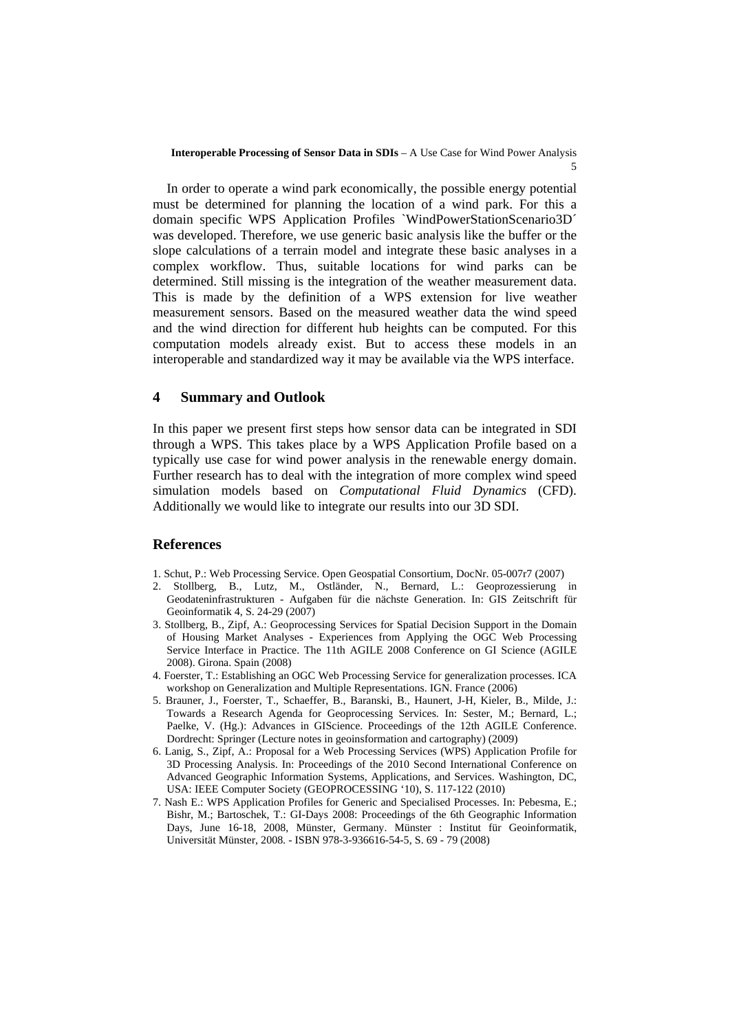In order to operate a wind park economically, the possible energy potential must be determined for planning the location of a wind park. For this a domain specific WPS Application Profiles `WindPowerStationScenario3D´ was developed. Therefore, we use generic basic analysis like the buffer or the slope calculations of a terrain model and integrate these basic analyses in a complex workflow. Thus, suitable locations for wind parks can be determined. Still missing is the integration of the weather measurement data. This is made by the definition of a WPS extension for live weather measurement sensors. Based on the measured weather data the wind speed and the wind direction for different hub heights can be computed. For this computation models already exist. But to access these models in an interoperable and standardized way it may be available via the WPS interface.

## **4 Summary and Outlook**

In this paper we present first steps how sensor data can be integrated in SDI through a WPS. This takes place by a WPS Application Profile based on a typically use case for wind power analysis in the renewable energy domain. Further research has to deal with the integration of more complex wind speed simulation models based on *Computational Fluid Dynamics* (CFD). Additionally we would like to integrate our results into our 3D SDI.

## **References**

- 1. Schut, P.: Web Processing Service. Open Geospatial Consortium, DocNr. 05-007r7 (2007)
- 2. Stollberg, B., Lutz, M., Ostländer, N., Bernard, L.: Geoprozessierung in Geodateninfrastrukturen - Aufgaben für die nächste Generation. In: GIS Zeitschrift für Geoinformatik 4, S. 24-29 (2007)
- 3. Stollberg, B., Zipf, A.: Geoprocessing Services for Spatial Decision Support in the Domain of Housing Market Analyses - Experiences from Applying the OGC Web Processing Service Interface in Practice. The 11th AGILE 2008 Conference on GI Science (AGILE 2008). Girona. Spain (2008)
- 4. Foerster, T.: Establishing an OGC Web Processing Service for generalization processes. ICA workshop on Generalization and Multiple Representations. IGN. France (2006)
- 5. Brauner, J., Foerster, T., Schaeffer, B., Baranski, B., Haunert, J-H, Kieler, B., Milde, J.: Towards a Research Agenda for Geoprocessing Services. In: Sester, M.; Bernard, L.; Paelke, V. (Hg.): Advances in GIScience. Proceedings of the 12th AGILE Conference. Dordrecht: Springer (Lecture notes in geoinsformation and cartography) (2009)
- 6. Lanig, S., Zipf, A.: Proposal for a Web Processing Services (WPS) Application Profile for 3D Processing Analysis. In: Proceedings of the 2010 Second International Conference on Advanced Geographic Information Systems, Applications, and Services. Washington, DC, USA: IEEE Computer Society (GEOPROCESSING '10), S. 117-122 (2010)
- 7. Nash E.: WPS Application Profiles for Generic and Specialised Processes. In: Pebesma, E.; Bishr, M.; Bartoschek, T.: GI-Days 2008: Proceedings of the 6th Geographic Information Days, June 16-18, 2008, Münster, Germany. Münster : Institut für Geoinformatik, Universität Münster, 2008. - ISBN 978-3-936616-54-5, S. 69 - 79 (2008)